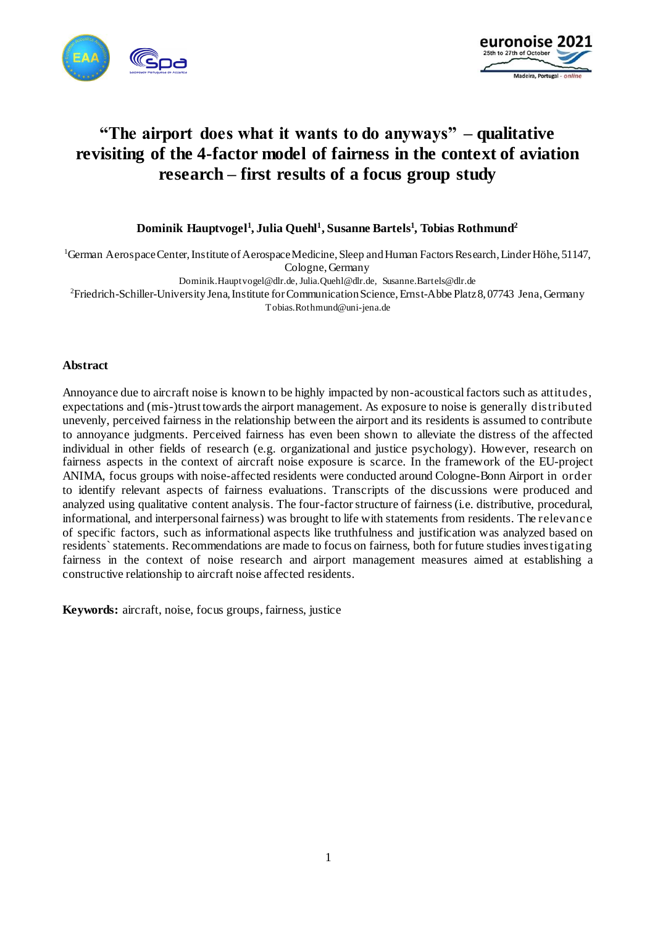



# **"The airport does what it wants to do anyways" – qualitative revisiting of the 4-factor model of fairness in the context of aviation research – first results of a focus group study**

**Dominik Hauptvogel<sup>1</sup> , Julia Quehl<sup>1</sup> , Susanne Bartels<sup>1</sup> , Tobias Rothmund<sup>2</sup>**

<sup>1</sup>German Aerospace Center, Institute of Aerospace Medicine, Sleep and Human Factors Research, Linder Höhe, 51147, Cologne, Germany

Dominik.Hauptvogel@dlr.de, Julia.Quehl@dlr.de, Susanne.Bartels@dlr.de

<sup>2</sup>Friedrich-Schiller-University Jena, Institute for Communication Science, Ernst-Abbe Platz 8, 07743 Jena, Germany Tobias.Rothmund@uni-jena.de

#### **Abstract**

Annoyance due to aircraft noise is known to be highly impacted by non-acoustical factors such as attitudes, expectations and (mis-)trust towards the airport management. As exposure to noise is generally distributed unevenly, perceived fairness in the relationship between the airport and its residents is assumed to contribute to annoyance judgments. Perceived fairness has even been shown to alleviate the distress of the affected individual in other fields of research (e.g. organizational and justice psychology). However, research on fairness aspects in the context of aircraft noise exposure is scarce. In the framework of the EU-project ANIMA, focus groups with noise-affected residents were conducted around Cologne-Bonn Airport in order to identify relevant aspects of fairness evaluations. Transcripts of the discussions were produced and analyzed using qualitative content analysis. The four-factor structure of fairness (i.e. distributive, procedural, informational, and interpersonal fairness) was brought to life with statements from residents. The relevanc e of specific factors, such as informational aspects like truthfulness and justification was analyzed based on residents`statements. Recommendations are made to focus on fairness, both for future studies investigating fairness in the context of noise research and airport management measures aimed at establishing a constructive relationship to aircraft noise affected residents.

**Keywords:** aircraft, noise, focus groups, fairness, justice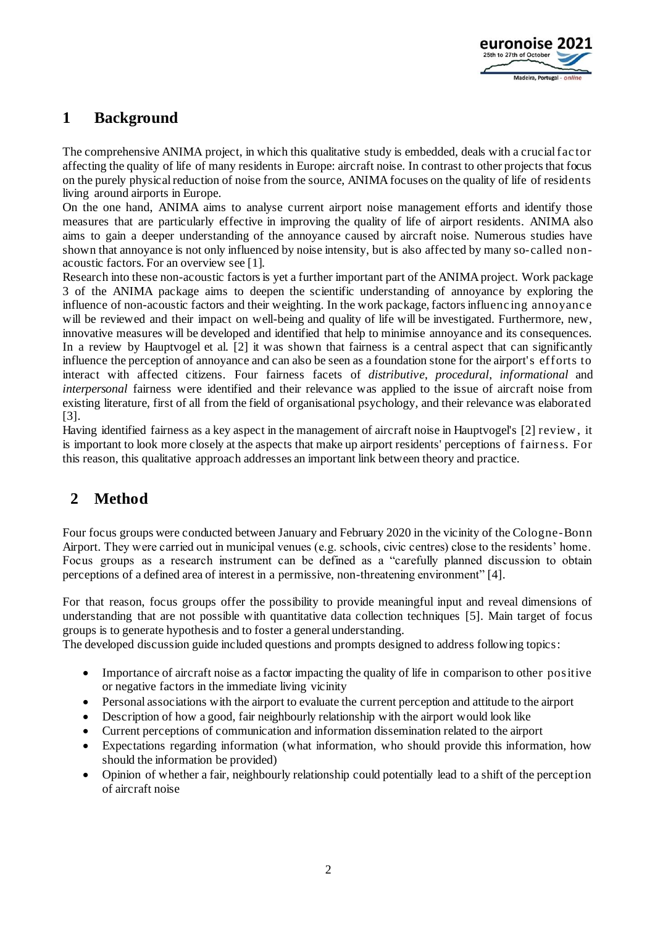

## **1 Background**

The comprehensive ANIMA project, in which this qualitative study is embedded, deals with a crucial fac tor affecting the quality of life of many residents in Europe: aircraft noise. In contrast to other projects that focus on the purely physical reduction of noise from the source, ANIMA focuses on the quality of life of residents living around airports in Europe.

On the one hand, ANIMA aims to analyse current airport noise management efforts and identify those measures that are particularly effective in improving the quality of life of airport residents. ANIMA also aims to gain a deeper understanding of the annoyance caused by aircraft noise. Numerous studies have shown that annoyance is not only influenced by noise intensity, but is also affec ted by many so-called nonacoustic factors. For an overview see [1].

Research into these non-acoustic factors is yet a further important part of the ANIMA project. Work package 3 of the ANIMA package aims to deepen the scientific understanding of annoyance by exploring the influence of non-acoustic factors and their weighting. In the work package, factors influenc ing annoyanc e will be reviewed and their impact on well-being and quality of life will be investigated. Furthermore, new, innovative measures will be developed and identified that help to minimise annoyance and its consequences. In a review by Hauptvogel et al. [2] it was shown that fairness is a central aspect that can significantly influence the perception of annoyance and can also be seen as a foundation stone for the airport's efforts to interact with affected citizens. Four fairness facets of *distributive*, *procedural*, *informational* and *interpersonal* fairness were identified and their relevance was applied to the issue of aircraft noise from existing literature, first of all from the field of organisational psychology, and their relevance was elaborated [3].

Having identified fairness as a key aspect in the management of aircraft noise in Hauptvogel's [2] review , it is important to look more closely at the aspects that make up airport residents' perceptions of fairness. For this reason, this qualitative approach addresses an important link between theory and practice.

# **2 Method**

Four focus groups were conducted between January and February 2020 in the vicinity of the Cologne-Bonn Airport. They were carried out in municipal venues (e.g. schools, civic centres) close to the residents' home. Focus groups as a research instrument can be defined as a "carefully planned discussion to obtain perceptions of a defined area of interest in a permissive, non-threatening environment" [4].

For that reason, focus groups offer the possibility to provide meaningful input and reveal dimensions of understanding that are not possible with quantitative data collection techniques [5]. Main target of focus groups is to generate hypothesis and to foster a general understanding.

The developed discussion guide included questions and prompts designed to address following topics:

- Importance of aircraft noise as a factor impacting the quality of life in comparison to other positive or negative factors in the immediate living vicinity
- Personal associations with the airport to evaluate the current perception and attitude to the airport
- Description of how a good, fair neighbourly relationship with the airport would look like
- Current perceptions of communication and information dissemination related to the airport
- Expectations regarding information (what information, who should provide this information, how should the information be provided)
- Opinion of whether a fair, neighbourly relationship could potentially lead to a shift of the perception of aircraft noise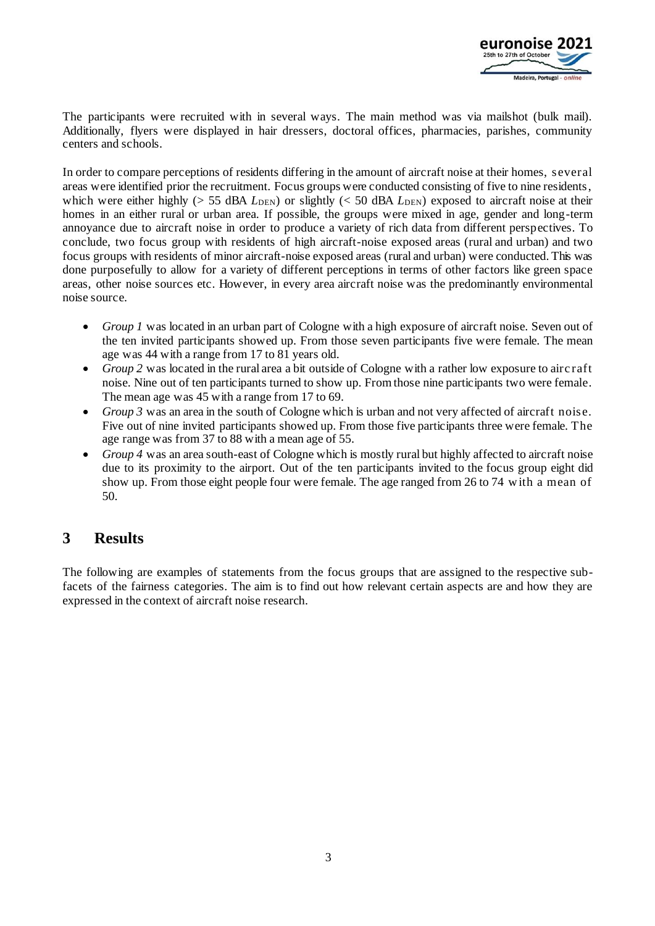

The participants were recruited with in several ways. The main method was via mailshot (bulk mail). Additionally, flyers were displayed in hair dressers, doctoral offices, pharmacies, parishes, community centers and schools.

In order to compare perceptions of residents differing in the amount of aircraft noise at their homes, several areas were identified prior the recruitment. Focus groups were conducted consisting of five to nine residents, which were either highly ( $> 55$  dBA  $L_{\text{DEN}}$ ) or slightly ( $< 50$  dBA  $L_{\text{DEN}}$ ) exposed to aircraft noise at their homes in an either rural or urban area. If possible, the groups were mixed in age, gender and long-term annoyance due to aircraft noise in order to produce a variety of rich data from different perspectives. To conclude, two focus group with residents of high aircraft-noise exposed areas (rural and urban) and two focus groups with residents of minor aircraft-noise exposed areas (rural and urban) were conducted. This was done purposefully to allow for a variety of different perceptions in terms of other factors like green space areas, other noise sources etc. However, in every area aircraft noise was the predominantly environmental noise source.

- *Group 1* was located in an urban part of Cologne with a high exposure of aircraft noise. Seven out of the ten invited participants showed up. From those seven participants five were female. The mean age was 44 with a range from 17 to 81 years old.
- *Group* 2 was located in the rural area a bit outside of Cologne with a rather low exposure to aircraft noise. Nine out of ten participants turned to show up. From those nine participants two were female. The mean age was 45 with a range from 17 to 69.
- *Group 3* was an area in the south of Cologne which is urban and not very affected of aircraft noise. Five out of nine invited participants showed up. From those five participants three were female. The age range was from 37 to 88 with a mean age of 55.
- *Group 4* was an area south-east of Cologne which is mostly rural but highly affected to aircraft noise due to its proximity to the airport. Out of the ten participants invited to the focus group eight did show up. From those eight people four were female. The age ranged from 26 to 74 w ith a mean of 50.

# **3 Results**

The following are examples of statements from the focus groups that are assigned to the respective subfacets of the fairness categories. The aim is to find out how relevant certain aspects are and how they are expressed in the context of aircraft noise research.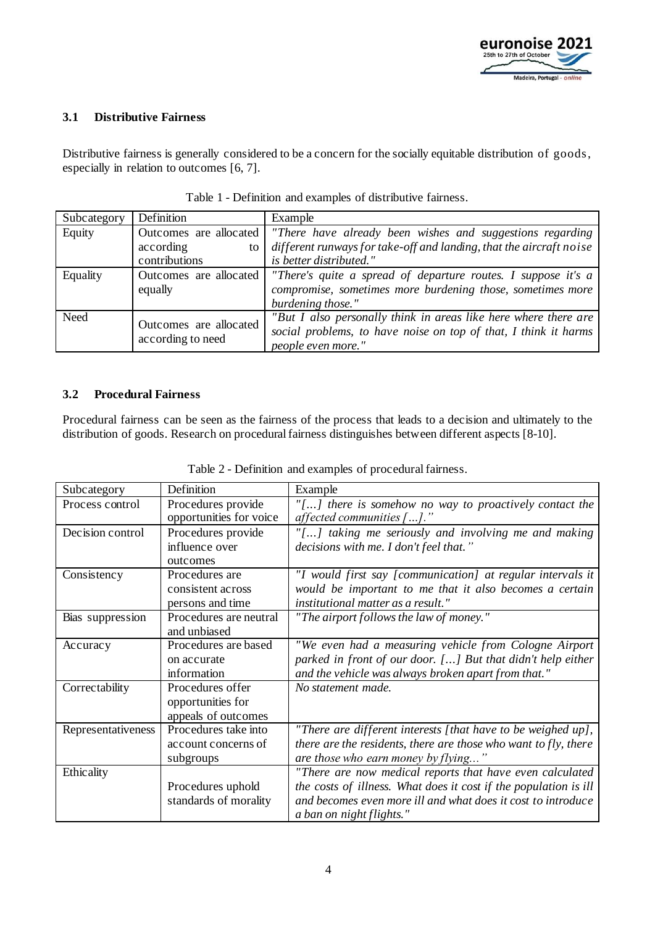

#### **3.1 Distributive Fairness**

Distributive fairness is generally considered to be a concern for the socially equitable distribution of goods, especially in relation to outcomes [6, 7].

| Subcategory | Definition                                  | Example                                                             |
|-------------|---------------------------------------------|---------------------------------------------------------------------|
| Equity      | Outcomes are allocated                      | "There have already been wishes and suggestions regarding           |
|             | according<br>to                             | different runways for take-off and landing, that the aircraft noise |
|             | contributions                               | is better distributed."                                             |
| Equality    | Outcomes are allocated                      | "There's quite a spread of departure routes. I suppose it's $a$     |
|             | equally                                     | compromise, sometimes more burdening those, sometimes more          |
|             |                                             | burdening those."                                                   |
| Need        | Outcomes are allocated<br>according to need | "But I also personally think in areas like here where there are     |
|             |                                             | social problems, to have noise on top of that, I think it harms     |
|             |                                             | people even more."                                                  |

#### **3.2 Procedural Fairness**

Procedural fairness can be seen as the fairness of the process that leads to a decision and ultimately to the distribution of goods. Research on procedural fairness distinguishes between different aspects [8-10].

| Subcategory        | Definition                                                   | Example                                                                                                                                                                                                                  |
|--------------------|--------------------------------------------------------------|--------------------------------------------------------------------------------------------------------------------------------------------------------------------------------------------------------------------------|
| Process control    | Procedures provide<br>opportunities for voice                | $"[]$ there is somehow no way to proactively contact the<br>affected communities $[]$ ."                                                                                                                                 |
| Decision control   | Procedures provide<br>influence over<br>outcomes             | "[] taking me seriously and involving me and making<br>decisions with me. I don't feel that."                                                                                                                            |
| Consistency        | Procedures are<br>consistent across<br>persons and time      | "I would first say [communication] at regular intervals it<br>would be important to me that it also becomes a certain<br>institutional matter as a result."                                                              |
| Bias suppression   | Procedures are neutral<br>and unbiased                       | "The airport follows the law of money."                                                                                                                                                                                  |
| Accuracy           | Procedures are based<br>on accurate<br>information           | "We even had a measuring vehicle from Cologne Airport<br>parked in front of our door. [] But that didn't help either<br>and the vehicle was always broken apart from that."                                              |
| Correctability     | Procedures offer<br>opportunities for<br>appeals of outcomes | No statement made.                                                                                                                                                                                                       |
| Representativeness | Procedures take into<br>account concerns of<br>subgroups     | "There are different interests [that have to be weighed up],<br>there are the residents, there are those who want to fly, there<br>are those who earn money by flying"                                                   |
| Ethicality         | Procedures uphold<br>standards of morality                   | "There are now medical reports that have even calculated<br>the costs of illness. What does it cost if the population is ill<br>and becomes even more ill and what does it cost to introduce<br>a ban on night flights." |

Table 2 - Definition and examples of procedural fairness.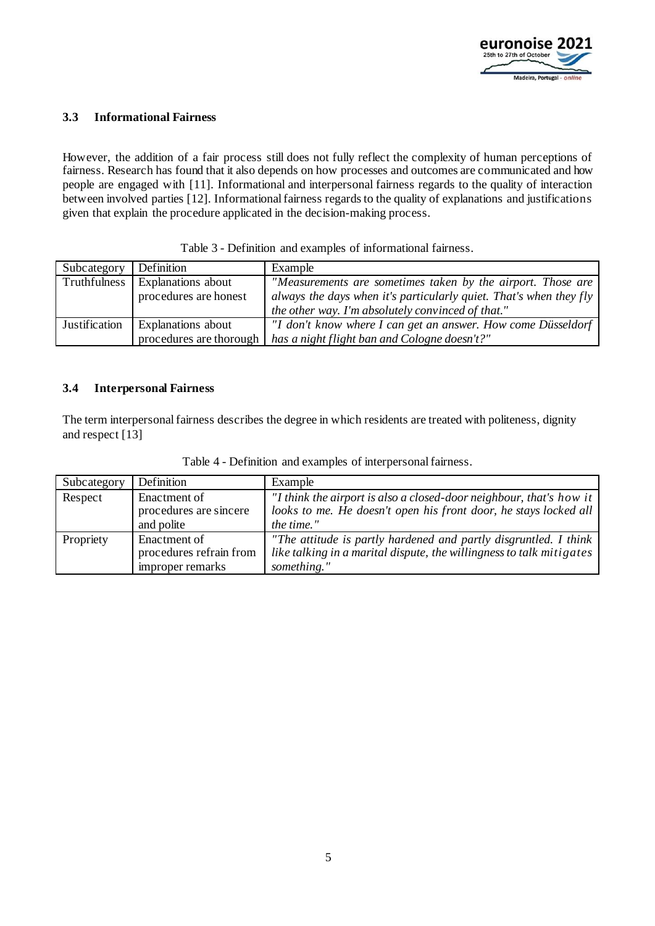

#### **3.3 Informational Fairness**

However, the addition of a fair process still does not fully reflect the complexity of human perceptions of fairness. Research has found that it also depends on how processes and outcomes are communicated and how people are engaged with [11]. Informational and interpersonal fairness regards to the quality of interaction between involved parties [12]. Informational fairness regards to the quality of explanations and justifications given that explain the procedure applicated in the decision-making process.

|            |         | Table 3 - Definition and examples of informational fairness. |
|------------|---------|--------------------------------------------------------------|
| Definition | Example |                                                              |

| Subcategory          | Definition                | Example                                                            |
|----------------------|---------------------------|--------------------------------------------------------------------|
| Truthfulness         | <b>Explanations</b> about | "Measurements are sometimes taken by the airport. Those are        |
|                      | procedures are honest     | always the days when it's particularly quiet. That's when they fly |
|                      |                           | the other way. I'm absolutely convinced of that."                  |
| <b>Justification</b> | <b>Explanations</b> about | "I don't know where I can get an answer. How come Düsseldorf       |
|                      | procedures are thorough   | has a night flight ban and Cologne doesn't?"                       |

#### **3.4 Interpersonal Fairness**

The term interpersonal fairness describes the degree in which residents are treated with politeness, dignity and respect [13]

| Subcategory | Definition              | Example                                                              |
|-------------|-------------------------|----------------------------------------------------------------------|
| Respect     | Enactment of            | "I think the airport is also a closed-door neighbour, that's how it  |
|             | procedures are sincere  | looks to me. He doesn't open his front door, he stays locked all     |
|             | and polite              | the time."                                                           |
| Propriety   | Enactment of            | "The attitude is partly hardened and partly disgruntled. I think     |
|             | procedures refrain from | like talking in a marital dispute, the willingness to talk mitigates |
|             | improper remarks        | something."                                                          |

Table 4 - Definition and examples of interpersonal fairness.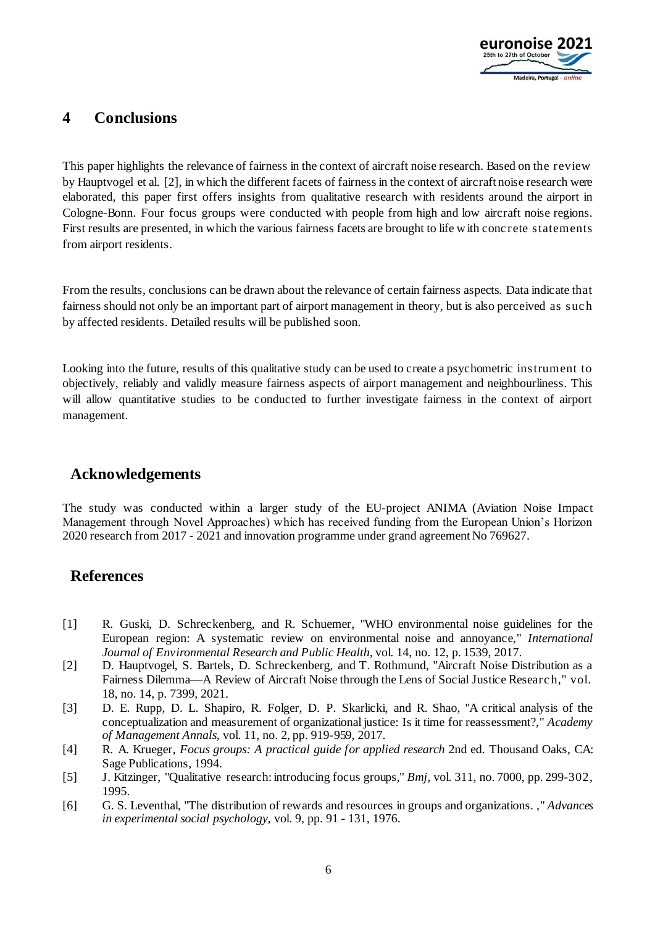

### **4 Conclusions**

This paper highlights the relevance of fairness in the context of aircraft noise research. Based on the review by Hauptvogel et al. [2], in which the different facets of fairness in the context of aircraft noise research were elaborated, this paper first offers insights from qualitative research with residents around the airport in Cologne-Bonn. Four focus groups were conducted with people from high and low aircraft noise regions. First results are presented, in which the various fairness facets are brought to life with conc rete statements from airport residents.

From the results, conclusions can be drawn about the relevance of certain fairness aspects. Data indicate that fairness should not only be an important part of airport management in theory, but is also perceived as suc h by affected residents. Detailed results will be published soon.

Looking into the future, results of this qualitative study can be used to create a psychometric instrument to objectively, reliably and validly measure fairness aspects of airport management and neighbourliness. This will allow quantitative studies to be conducted to further investigate fairness in the context of airport management.

### **Acknowledgements**

The study was conducted within a larger study of the EU-project ANIMA (Aviation Noise Impact Management through Novel Approaches) which has received funding from the European Union's Horizon 2020 research from 2017 - 2021 and innovation programme under grand agreement No 769627.

### **References**

- [1] R. Guski, D. Schreckenberg, and R. Schuemer, "WHO environmental noise guidelines for the European region: A systematic review on environmental noise and annoyance," *International Journal of Environmental Research and Public Health,* vol. 14, no. 12, p. 1539, 2017.
- [2] D. Hauptvogel, S. Bartels, D. Schreckenberg, and T. Rothmund, "Aircraft Noise Distribution as a Fairness Dilemma—A Review of Aircraft Noise through the Lens of Social Justice Researc h," vol. 18, no. 14, p. 7399, 2021.
- [3] D. E. Rupp, D. L. Shapiro, R. Folger, D. P. Skarlicki, and R. Shao, "A critical analysis of the conceptualization and measurement of organizational justice: Is it time for reassessment?," *Academy of Management Annals,* vol. 11, no. 2, pp. 919-959, 2017.
- [4] R. A. Krueger, *Focus groups: A practical guide for applied research* 2nd ed. Thousand Oaks, CA: Sage Publications, 1994.
- [5] J. Kitzinger, "Qualitative research: introducing focus groups," *Bmj,* vol. 311, no. 7000, pp. 299-302, 1995.
- [6] G. S. Leventhal, "The distribution of rewards and resources in groups and organizations. ," *Advances in experimental social psychology,* vol. 9, pp. 91 - 131, 1976.